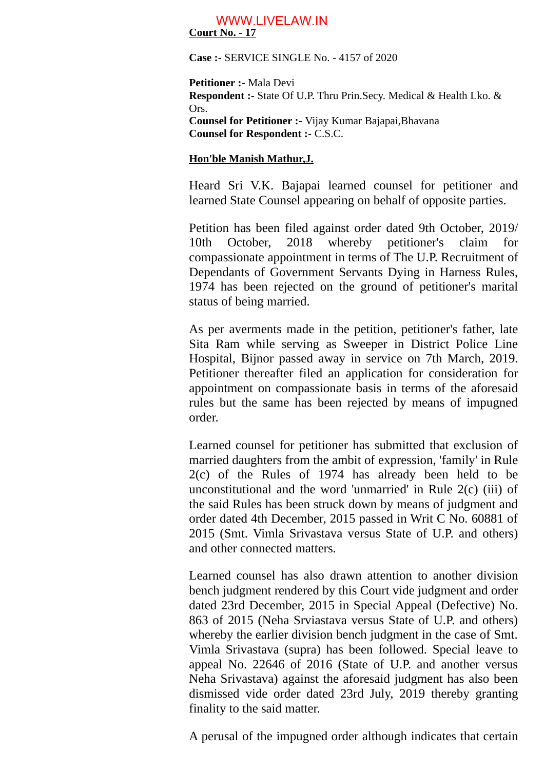## **Court No. - 17** WWW.LIVELAW.IN

**Case :-** SERVICE SINGLE No. - 4157 of 2020

**Petitioner :-** Mala Devi **Respondent :-** State Of U.P. Thru Prin.Secy. Medical & Health Lko. & Ors. **Counsel for Petitioner :-** Vijay Kumar Bajapai,Bhavana **Counsel for Respondent :-** C.S.C.

## **Hon'ble Manish Mathur,J.**

Heard Sri V.K. Bajapai learned counsel for petitioner and learned State Counsel appearing on behalf of opposite parties.

Petition has been filed against order dated 9th October, 2019/ 10th October, 2018 whereby petitioner's claim for compassionate appointment in terms of The U.P. Recruitment of Dependants of Government Servants Dying in Harness Rules, 1974 has been rejected on the ground of petitioner's marital status of being married.

As per averments made in the petition, petitioner's father, late Sita Ram while serving as Sweeper in District Police Line Hospital, Bijnor passed away in service on 7th March, 2019. Petitioner thereafter filed an application for consideration for appointment on compassionate basis in terms of the aforesaid rules but the same has been rejected by means of impugned order.

Learned counsel for petitioner has submitted that exclusion of married daughters from the ambit of expression, 'family' in Rule 2(c) of the Rules of 1974 has already been held to be unconstitutional and the word 'unmarried' in Rule 2(c) (iii) of the said Rules has been struck down by means of judgment and order dated 4th December, 2015 passed in Writ C No. 60881 of 2015 (Smt. Vimla Srivastava versus State of U.P. and others) and other connected matters.

Learned counsel has also drawn attention to another division bench judgment rendered by this Court vide judgment and order dated 23rd December, 2015 in Special Appeal (Defective) No. 863 of 2015 (Neha Srviastava versus State of U.P. and others) whereby the earlier division bench judgment in the case of Smt. Vimla Srivastava (supra) has been followed. Special leave to appeal No. 22646 of 2016 (State of U.P. and another versus Neha Srivastava) against the aforesaid judgment has also been dismissed vide order dated 23rd July, 2019 thereby granting finality to the said matter.

A perusal of the impugned order although indicates that certain